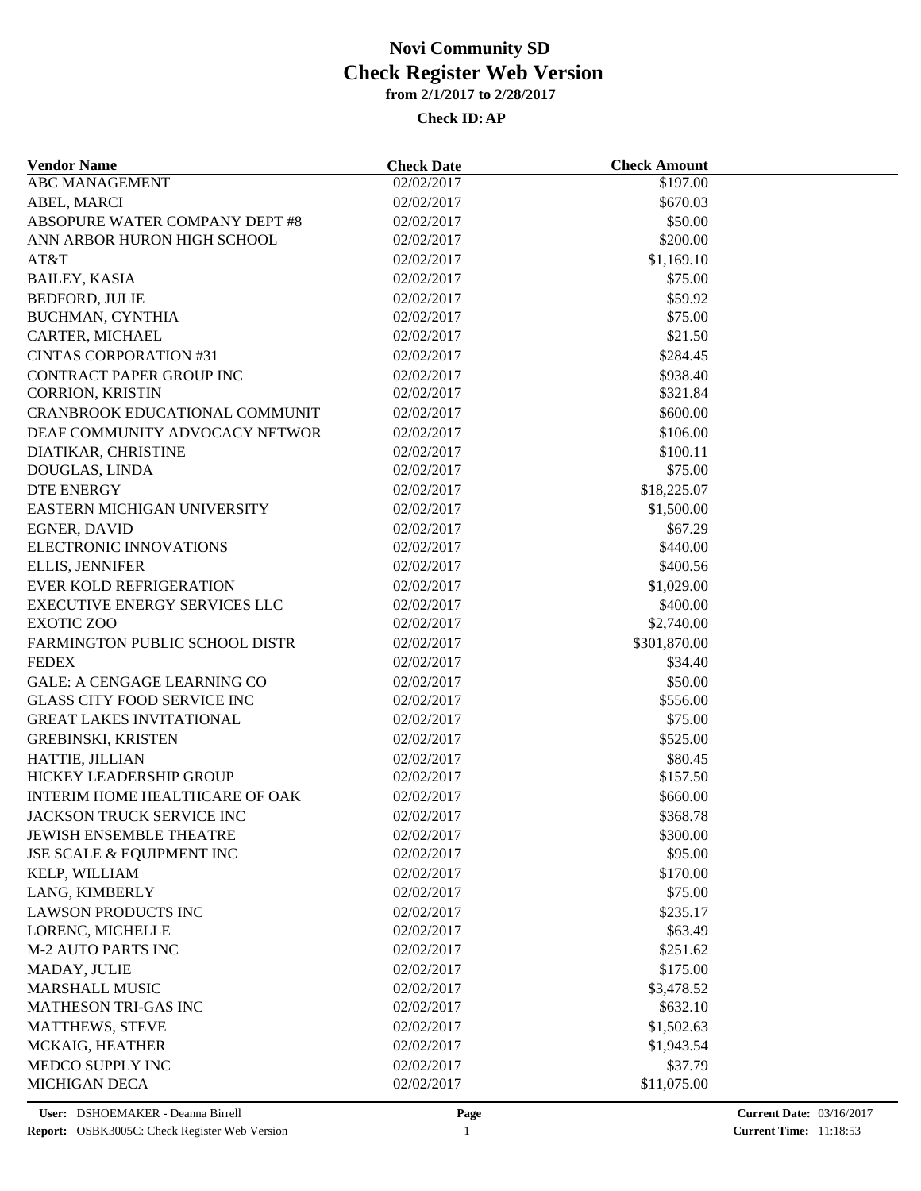| <b>Vendor Name</b>                    | <b>Check Date</b> | <b>Check Amount</b> |  |
|---------------------------------------|-------------------|---------------------|--|
| ABC MANAGEMENT                        | 02/02/2017        | \$197.00            |  |
| ABEL, MARCI                           | 02/02/2017        | \$670.03            |  |
| ABSOPURE WATER COMPANY DEPT #8        | 02/02/2017        | \$50.00             |  |
| ANN ARBOR HURON HIGH SCHOOL           | 02/02/2017        | \$200.00            |  |
| AT&T                                  | 02/02/2017        | \$1,169.10          |  |
| <b>BAILEY, KASIA</b>                  | 02/02/2017        | \$75.00             |  |
| <b>BEDFORD, JULIE</b>                 | 02/02/2017        | \$59.92             |  |
| BUCHMAN, CYNTHIA                      | 02/02/2017        | \$75.00             |  |
| CARTER, MICHAEL                       | 02/02/2017        | \$21.50             |  |
| <b>CINTAS CORPORATION #31</b>         | 02/02/2017        | \$284.45            |  |
| CONTRACT PAPER GROUP INC              | 02/02/2017        | \$938.40            |  |
| CORRION, KRISTIN                      | 02/02/2017        | \$321.84            |  |
| <b>CRANBROOK EDUCATIONAL COMMUNIT</b> | 02/02/2017        | \$600.00            |  |
| DEAF COMMUNITY ADVOCACY NETWOR        | 02/02/2017        | \$106.00            |  |
| DIATIKAR, CHRISTINE                   | 02/02/2017        | \$100.11            |  |
| DOUGLAS, LINDA                        | 02/02/2017        | \$75.00             |  |
| <b>DTE ENERGY</b>                     | 02/02/2017        | \$18,225.07         |  |
| EASTERN MICHIGAN UNIVERSITY           | 02/02/2017        | \$1,500.00          |  |
| <b>EGNER, DAVID</b>                   | 02/02/2017        | \$67.29             |  |
| ELECTRONIC INNOVATIONS                | 02/02/2017        | \$440.00            |  |
| <b>ELLIS, JENNIFER</b>                | 02/02/2017        | \$400.56            |  |
| <b>EVER KOLD REFRIGERATION</b>        | 02/02/2017        | \$1,029.00          |  |
| <b>EXECUTIVE ENERGY SERVICES LLC</b>  | 02/02/2017        | \$400.00            |  |
| <b>EXOTIC ZOO</b>                     | 02/02/2017        | \$2,740.00          |  |
| FARMINGTON PUBLIC SCHOOL DISTR        | 02/02/2017        | \$301,870.00        |  |
| <b>FEDEX</b>                          | 02/02/2017        | \$34.40             |  |
| <b>GALE: A CENGAGE LEARNING CO</b>    | 02/02/2017        | \$50.00             |  |
| <b>GLASS CITY FOOD SERVICE INC</b>    | 02/02/2017        | \$556.00            |  |
| <b>GREAT LAKES INVITATIONAL</b>       | 02/02/2017        | \$75.00             |  |
| <b>GREBINSKI, KRISTEN</b>             | 02/02/2017        | \$525.00            |  |
| HATTIE, JILLIAN                       | 02/02/2017        | \$80.45             |  |
| HICKEY LEADERSHIP GROUP               | 02/02/2017        | \$157.50            |  |
| INTERIM HOME HEALTHCARE OF OAK        | 02/02/2017        | \$660.00            |  |
| JACKSON TRUCK SERVICE INC             | 02/02/2017        | \$368.78            |  |
| JEWISH ENSEMBLE THEATRE               | 02/02/2017        | \$300.00            |  |
| JSE SCALE & EQUIPMENT INC             | 02/02/2017        | \$95.00             |  |
| KELP, WILLIAM                         | 02/02/2017        | \$170.00            |  |
|                                       |                   |                     |  |
| LANG, KIMBERLY                        | 02/02/2017        | \$75.00             |  |
| <b>LAWSON PRODUCTS INC</b>            | 02/02/2017        | \$235.17            |  |
| LORENC, MICHELLE                      | 02/02/2017        | \$63.49             |  |
| <b>M-2 AUTO PARTS INC</b>             | 02/02/2017        | \$251.62            |  |
| MADAY, JULIE                          | 02/02/2017        | \$175.00            |  |
| <b>MARSHALL MUSIC</b>                 | 02/02/2017        | \$3,478.52          |  |
| MATHESON TRI-GAS INC                  | 02/02/2017        | \$632.10            |  |
| <b>MATTHEWS, STEVE</b>                | 02/02/2017        | \$1,502.63          |  |
| MCKAIG, HEATHER                       | 02/02/2017        | \$1,943.54          |  |
| MEDCO SUPPLY INC                      | 02/02/2017        | \$37.79             |  |
| MICHIGAN DECA                         | 02/02/2017        | \$11,075.00         |  |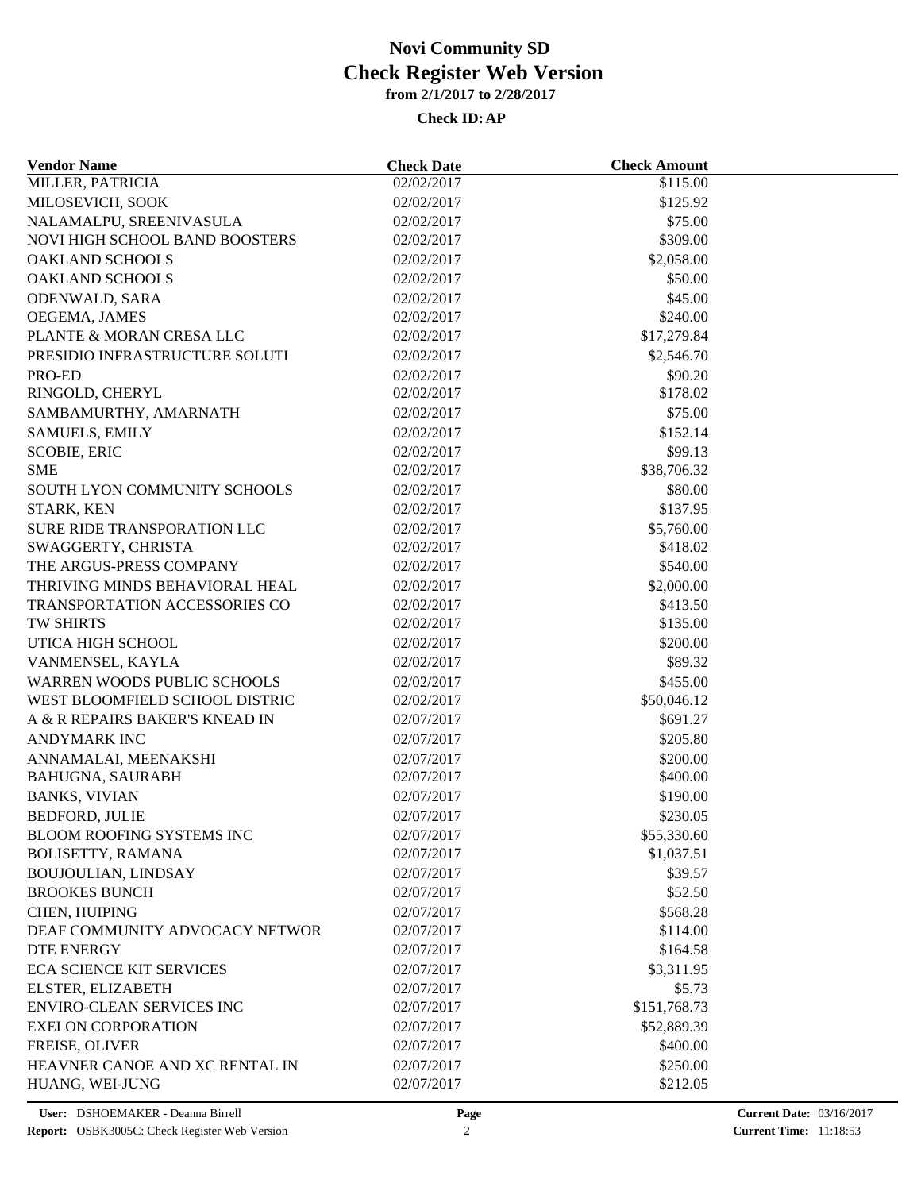| <b>Vendor Name</b>               | <b>Check Date</b> | <b>Check Amount</b> |  |
|----------------------------------|-------------------|---------------------|--|
| <b>MILLER, PATRICIA</b>          | 02/02/2017        | \$115.00            |  |
| MILOSEVICH, SOOK                 | 02/02/2017        | \$125.92            |  |
| NALAMALPU, SREENIVASULA          | 02/02/2017        | \$75.00             |  |
| NOVI HIGH SCHOOL BAND BOOSTERS   | 02/02/2017        | \$309.00            |  |
| <b>OAKLAND SCHOOLS</b>           | 02/02/2017        | \$2,058.00          |  |
| <b>OAKLAND SCHOOLS</b>           | 02/02/2017        | \$50.00             |  |
| ODENWALD, SARA                   | 02/02/2017        | \$45.00             |  |
| OEGEMA, JAMES                    | 02/02/2017        | \$240.00            |  |
| PLANTE & MORAN CRESA LLC         | 02/02/2017        | \$17,279.84         |  |
| PRESIDIO INFRASTRUCTURE SOLUTI   | 02/02/2017        | \$2,546.70          |  |
| PRO-ED                           | 02/02/2017        | \$90.20             |  |
| RINGOLD, CHERYL                  | 02/02/2017        | \$178.02            |  |
| SAMBAMURTHY, AMARNATH            | 02/02/2017        | \$75.00             |  |
| <b>SAMUELS, EMILY</b>            | 02/02/2017        | \$152.14            |  |
| <b>SCOBIE, ERIC</b>              | 02/02/2017        | \$99.13             |  |
| <b>SME</b>                       | 02/02/2017        | \$38,706.32         |  |
| SOUTH LYON COMMUNITY SCHOOLS     | 02/02/2017        | \$80.00             |  |
| STARK, KEN                       | 02/02/2017        | \$137.95            |  |
| SURE RIDE TRANSPORATION LLC      | 02/02/2017        | \$5,760.00          |  |
| SWAGGERTY, CHRISTA               | 02/02/2017        | \$418.02            |  |
| THE ARGUS-PRESS COMPANY          | 02/02/2017        | \$540.00            |  |
| THRIVING MINDS BEHAVIORAL HEAL   | 02/02/2017        | \$2,000.00          |  |
| TRANSPORTATION ACCESSORIES CO    | 02/02/2017        | \$413.50            |  |
| TW SHIRTS                        | 02/02/2017        | \$135.00            |  |
| UTICA HIGH SCHOOL                | 02/02/2017        | \$200.00            |  |
| VANMENSEL, KAYLA                 | 02/02/2017        | \$89.32             |  |
| WARREN WOODS PUBLIC SCHOOLS      | 02/02/2017        | \$455.00            |  |
| WEST BLOOMFIELD SCHOOL DISTRIC   | 02/02/2017        | \$50,046.12         |  |
| A & R REPAIRS BAKER'S KNEAD IN   | 02/07/2017        | \$691.27            |  |
| <b>ANDYMARK INC</b>              |                   |                     |  |
|                                  | 02/07/2017        | \$205.80            |  |
| ANNAMALAI, MEENAKSHI             | 02/07/2017        | \$200.00            |  |
| <b>BAHUGNA, SAURABH</b>          | 02/07/2017        | \$400.00            |  |
| <b>BANKS, VIVIAN</b>             | 02/07/2017        | \$190.00            |  |
| <b>BEDFORD, JULIE</b>            | 02/07/2017        | \$230.05            |  |
| BLOOM ROOFING SYSTEMS INC        | 02/07/2017        | \$55,330.60         |  |
| <b>BOLISETTY, RAMANA</b>         | 02/07/2017        | \$1,037.51          |  |
| BOUJOULIAN, LINDSAY              | 02/07/2017        | \$39.57             |  |
| <b>BROOKES BUNCH</b>             | 02/07/2017        | \$52.50             |  |
| CHEN, HUIPING                    | 02/07/2017        | \$568.28            |  |
| DEAF COMMUNITY ADVOCACY NETWOR   | 02/07/2017        | \$114.00            |  |
| <b>DTE ENERGY</b>                | 02/07/2017        | \$164.58            |  |
| <b>ECA SCIENCE KIT SERVICES</b>  | 02/07/2017        | \$3,311.95          |  |
| ELSTER, ELIZABETH                | 02/07/2017        | \$5.73              |  |
| <b>ENVIRO-CLEAN SERVICES INC</b> | 02/07/2017        | \$151,768.73        |  |
| <b>EXELON CORPORATION</b>        | 02/07/2017        | \$52,889.39         |  |
| FREISE, OLIVER                   | 02/07/2017        | \$400.00            |  |
| HEAVNER CANOE AND XC RENTAL IN   | 02/07/2017        | \$250.00            |  |
| HUANG, WEI-JUNG                  | 02/07/2017        | \$212.05            |  |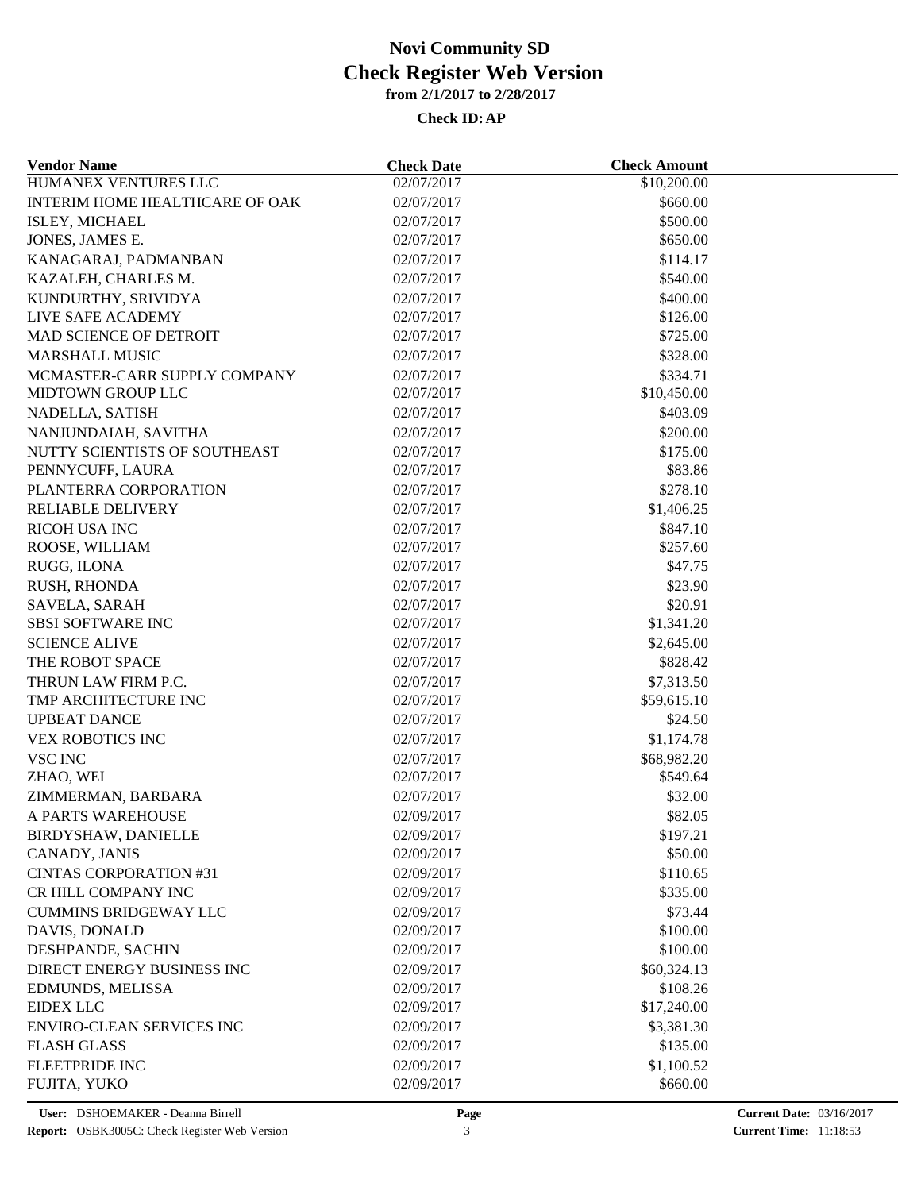| <b>Vendor Name</b>               | <b>Check Date</b> | <b>Check Amount</b> |  |
|----------------------------------|-------------------|---------------------|--|
| HUMANEX VENTURES LLC             | 02/07/2017        | \$10,200.00         |  |
| INTERIM HOME HEALTHCARE OF OAK   | 02/07/2017        | \$660.00            |  |
| ISLEY, MICHAEL                   | 02/07/2017        | \$500.00            |  |
| JONES, JAMES E.                  | 02/07/2017        | \$650.00            |  |
| KANAGARAJ, PADMANBAN             | 02/07/2017        | \$114.17            |  |
| KAZALEH, CHARLES M.              | 02/07/2017        | \$540.00            |  |
| KUNDURTHY, SRIVIDYA              | 02/07/2017        | \$400.00            |  |
| LIVE SAFE ACADEMY                | 02/07/2017        | \$126.00            |  |
| MAD SCIENCE OF DETROIT           | 02/07/2017        | \$725.00            |  |
| <b>MARSHALL MUSIC</b>            | 02/07/2017        | \$328.00            |  |
| MCMASTER-CARR SUPPLY COMPANY     | 02/07/2017        | \$334.71            |  |
| MIDTOWN GROUP LLC                | 02/07/2017        | \$10,450.00         |  |
| NADELLA, SATISH                  | 02/07/2017        | \$403.09            |  |
| NANJUNDAIAH, SAVITHA             | 02/07/2017        | \$200.00            |  |
| NUTTY SCIENTISTS OF SOUTHEAST    | 02/07/2017        | \$175.00            |  |
| PENNYCUFF, LAURA                 | 02/07/2017        | \$83.86             |  |
| PLANTERRA CORPORATION            | 02/07/2017        | \$278.10            |  |
| <b>RELIABLE DELIVERY</b>         | 02/07/2017        | \$1,406.25          |  |
| <b>RICOH USA INC</b>             | 02/07/2017        | \$847.10            |  |
| ROOSE, WILLIAM                   | 02/07/2017        | \$257.60            |  |
| RUGG, ILONA                      | 02/07/2017        | \$47.75             |  |
| RUSH, RHONDA                     | 02/07/2017        | \$23.90             |  |
| SAVELA, SARAH                    | 02/07/2017        | \$20.91             |  |
| <b>SBSI SOFTWARE INC</b>         | 02/07/2017        | \$1,341.20          |  |
| <b>SCIENCE ALIVE</b>             | 02/07/2017        | \$2,645.00          |  |
| THE ROBOT SPACE                  | 02/07/2017        | \$828.42            |  |
| THRUN LAW FIRM P.C.              | 02/07/2017        | \$7,313.50          |  |
| TMP ARCHITECTURE INC             | 02/07/2017        | \$59,615.10         |  |
| <b>UPBEAT DANCE</b>              | 02/07/2017        | \$24.50             |  |
| <b>VEX ROBOTICS INC</b>          | 02/07/2017        | \$1,174.78          |  |
| <b>VSC INC</b>                   | 02/07/2017        | \$68,982.20         |  |
| ZHAO, WEI                        | 02/07/2017        | \$549.64            |  |
| ZIMMERMAN, BARBARA               | 02/07/2017        | \$32.00             |  |
| A PARTS WAREHOUSE                | 02/09/2017        | \$82.05             |  |
| <b>BIRDYSHAW, DANIELLE</b>       | 02/09/2017        | \$197.21            |  |
| CANADY, JANIS                    | 02/09/2017        | \$50.00             |  |
| <b>CINTAS CORPORATION #31</b>    | 02/09/2017        | \$110.65            |  |
| CR HILL COMPANY INC              | 02/09/2017        | \$335.00            |  |
| <b>CUMMINS BRIDGEWAY LLC</b>     | 02/09/2017        | \$73.44             |  |
| DAVIS, DONALD                    | 02/09/2017        | \$100.00            |  |
| DESHPANDE, SACHIN                | 02/09/2017        | \$100.00            |  |
| DIRECT ENERGY BUSINESS INC       | 02/09/2017        | \$60,324.13         |  |
| EDMUNDS, MELISSA                 | 02/09/2017        | \$108.26            |  |
| <b>EIDEX LLC</b>                 | 02/09/2017        | \$17,240.00         |  |
| <b>ENVIRO-CLEAN SERVICES INC</b> | 02/09/2017        | \$3,381.30          |  |
| <b>FLASH GLASS</b>               | 02/09/2017        | \$135.00            |  |
| <b>FLEETPRIDE INC</b>            | 02/09/2017        | \$1,100.52          |  |
| FUJITA, YUKO                     | 02/09/2017        | \$660.00            |  |
|                                  |                   |                     |  |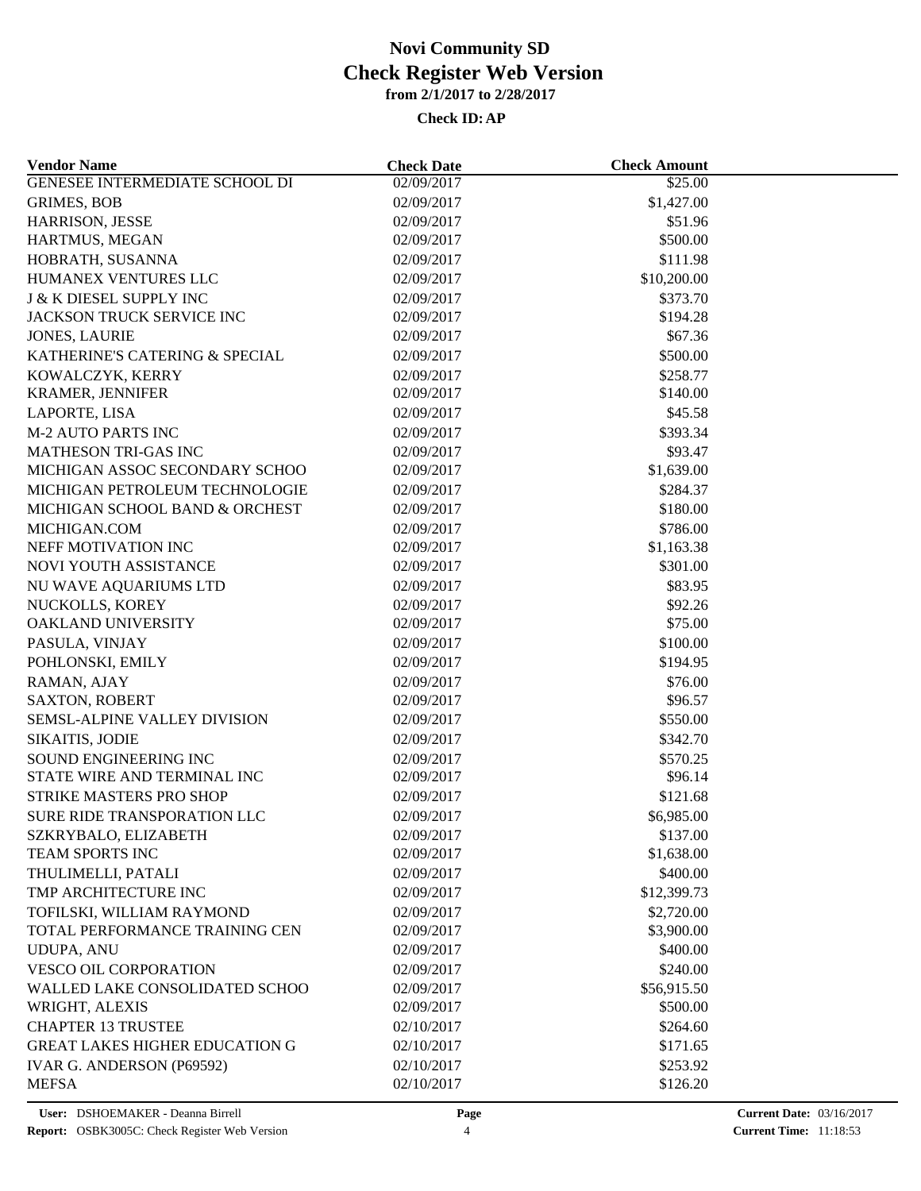| <b>Vendor Name</b>                    | <b>Check Date</b>        | <b>Check Amount</b> |  |
|---------------------------------------|--------------------------|---------------------|--|
| <b>GENESEE INTERMEDIATE SCHOOL DI</b> | 02/09/2017               | \$25.00             |  |
| <b>GRIMES, BOB</b>                    | 02/09/2017               | \$1,427.00          |  |
| HARRISON, JESSE                       | 02/09/2017               | \$51.96             |  |
| HARTMUS, MEGAN                        | 02/09/2017               | \$500.00            |  |
| HOBRATH, SUSANNA                      | 02/09/2017               | \$111.98            |  |
| HUMANEX VENTURES LLC                  | 02/09/2017               | \$10,200.00         |  |
| <b>J &amp; K DIESEL SUPPLY INC</b>    | 02/09/2017               | \$373.70            |  |
| JACKSON TRUCK SERVICE INC             | 02/09/2017               | \$194.28            |  |
| <b>JONES, LAURIE</b>                  | 02/09/2017               | \$67.36             |  |
| KATHERINE'S CATERING & SPECIAL        | 02/09/2017               | \$500.00            |  |
| KOWALCZYK, KERRY                      | 02/09/2017               | \$258.77            |  |
| <b>KRAMER, JENNIFER</b>               | 02/09/2017               | \$140.00            |  |
| LAPORTE, LISA                         | 02/09/2017               | \$45.58             |  |
| <b>M-2 AUTO PARTS INC</b>             | 02/09/2017               | \$393.34            |  |
| MATHESON TRI-GAS INC                  | 02/09/2017               | \$93.47             |  |
| MICHIGAN ASSOC SECONDARY SCHOO        | 02/09/2017               | \$1,639.00          |  |
| MICHIGAN PETROLEUM TECHNOLOGIE        | 02/09/2017               | \$284.37            |  |
| MICHIGAN SCHOOL BAND & ORCHEST        | 02/09/2017               | \$180.00            |  |
| MICHIGAN.COM                          | 02/09/2017               | \$786.00            |  |
| NEFF MOTIVATION INC                   | 02/09/2017               | \$1,163.38          |  |
| NOVI YOUTH ASSISTANCE                 | 02/09/2017               | \$301.00            |  |
| NU WAVE AQUARIUMS LTD                 | 02/09/2017               | \$83.95             |  |
| NUCKOLLS, KOREY                       | 02/09/2017               | \$92.26             |  |
| OAKLAND UNIVERSITY                    | 02/09/2017               | \$75.00             |  |
| PASULA, VINJAY                        | 02/09/2017               | \$100.00            |  |
| POHLONSKI, EMILY                      | 02/09/2017               | \$194.95            |  |
|                                       |                          | \$76.00             |  |
| RAMAN, AJAY<br><b>SAXTON, ROBERT</b>  | 02/09/2017<br>02/09/2017 | \$96.57             |  |
| SEMSL-ALPINE VALLEY DIVISION          | 02/09/2017               | \$550.00            |  |
|                                       |                          |                     |  |
| SIKAITIS, JODIE                       | 02/09/2017               | \$342.70            |  |
| SOUND ENGINEERING INC                 | 02/09/2017               | \$570.25            |  |
| STATE WIRE AND TERMINAL INC           | 02/09/2017               | \$96.14             |  |
| STRIKE MASTERS PRO SHOP               | 02/09/2017               | \$121.68            |  |
| SURE RIDE TRANSPORATION LLC           | 02/09/2017               | \$6,985.00          |  |
| SZKRYBALO, ELIZABETH                  | 02/09/2017               | \$137.00            |  |
| <b>TEAM SPORTS INC</b>                | 02/09/2017               | \$1,638.00          |  |
| THULIMELLI, PATALI                    | 02/09/2017               | \$400.00            |  |
| TMP ARCHITECTURE INC                  | 02/09/2017               | \$12,399.73         |  |
| TOFILSKI, WILLIAM RAYMOND             | 02/09/2017               | \$2,720.00          |  |
| TOTAL PERFORMANCE TRAINING CEN        | 02/09/2017               | \$3,900.00          |  |
| <b>UDUPA, ANU</b>                     | 02/09/2017               | \$400.00            |  |
| VESCO OIL CORPORATION                 | 02/09/2017               | \$240.00            |  |
| WALLED LAKE CONSOLIDATED SCHOO        | 02/09/2017               | \$56,915.50         |  |
| WRIGHT, ALEXIS                        | 02/09/2017               | \$500.00            |  |
| <b>CHAPTER 13 TRUSTEE</b>             | 02/10/2017               | \$264.60            |  |
| <b>GREAT LAKES HIGHER EDUCATION G</b> | 02/10/2017               | \$171.65            |  |
| IVAR G. ANDERSON (P69592)             | 02/10/2017               | \$253.92            |  |
| <b>MEFSA</b>                          | 02/10/2017               | \$126.20            |  |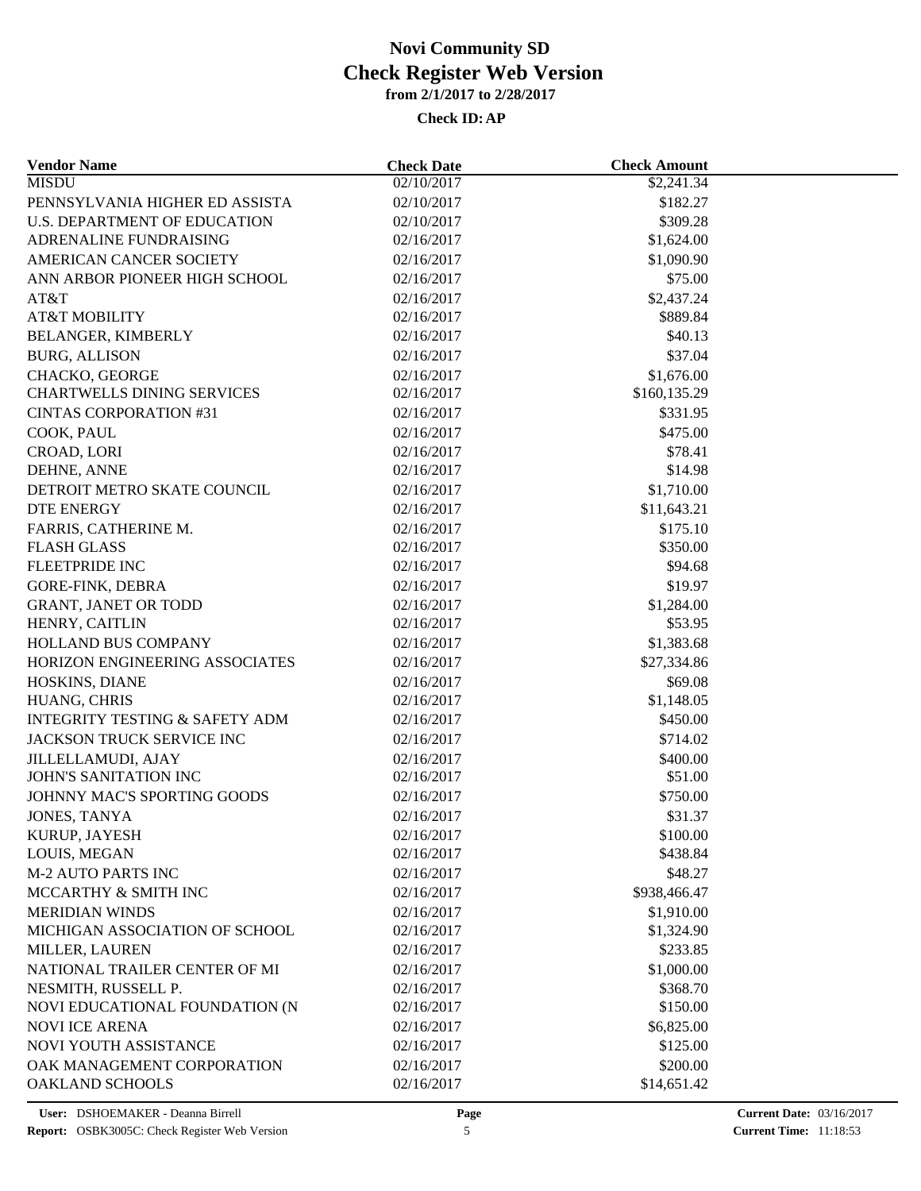| <b>Vendor Name</b>                                 | <b>Check Date</b> | <b>Check Amount</b>  |  |
|----------------------------------------------------|-------------------|----------------------|--|
| <b>MISDU</b>                                       | 02/10/2017        | \$2,241.34           |  |
| PENNSYLVANIA HIGHER ED ASSISTA                     | 02/10/2017        | \$182.27             |  |
| U.S. DEPARTMENT OF EDUCATION                       | 02/10/2017        | \$309.28             |  |
| ADRENALINE FUNDRAISING                             | 02/16/2017        | \$1,624.00           |  |
| AMERICAN CANCER SOCIETY                            | 02/16/2017        | \$1,090.90           |  |
| ANN ARBOR PIONEER HIGH SCHOOL                      | 02/16/2017        | \$75.00              |  |
| AT&T                                               | 02/16/2017        | \$2,437.24           |  |
| <b>AT&amp;T MOBILITY</b>                           | 02/16/2017        | \$889.84             |  |
| BELANGER, KIMBERLY                                 | 02/16/2017        | \$40.13              |  |
| <b>BURG, ALLISON</b>                               | 02/16/2017        | \$37.04              |  |
| CHACKO, GEORGE                                     | 02/16/2017        | \$1,676.00           |  |
| <b>CHARTWELLS DINING SERVICES</b>                  | 02/16/2017        | \$160,135.29         |  |
| <b>CINTAS CORPORATION #31</b>                      | 02/16/2017        | \$331.95             |  |
| COOK, PAUL                                         | 02/16/2017        | \$475.00             |  |
| CROAD, LORI                                        | 02/16/2017        | \$78.41              |  |
| DEHNE, ANNE                                        | 02/16/2017        | \$14.98              |  |
| DETROIT METRO SKATE COUNCIL                        | 02/16/2017        | \$1,710.00           |  |
| <b>DTE ENERGY</b>                                  | 02/16/2017        | \$11,643.21          |  |
| FARRIS, CATHERINE M.                               | 02/16/2017        | \$175.10             |  |
| <b>FLASH GLASS</b>                                 | 02/16/2017        | \$350.00             |  |
| <b>FLEETPRIDE INC</b>                              | 02/16/2017        | \$94.68              |  |
| GORE-FINK, DEBRA                                   | 02/16/2017        | \$19.97              |  |
| <b>GRANT, JANET OR TODD</b>                        | 02/16/2017        | \$1,284.00           |  |
| HENRY, CAITLIN                                     | 02/16/2017        | \$53.95              |  |
| HOLLAND BUS COMPANY                                | 02/16/2017        | \$1,383.68           |  |
| HORIZON ENGINEERING ASSOCIATES                     | 02/16/2017        | \$27,334.86          |  |
| HOSKINS, DIANE                                     | 02/16/2017        | \$69.08              |  |
| HUANG, CHRIS                                       | 02/16/2017        | \$1,148.05           |  |
| <b>INTEGRITY TESTING &amp; SAFETY ADM</b>          | 02/16/2017        | \$450.00             |  |
| JACKSON TRUCK SERVICE INC                          |                   |                      |  |
|                                                    | 02/16/2017        | \$714.02<br>\$400.00 |  |
| <b>JILLELLAMUDI, AJAY</b><br>JOHN'S SANITATION INC | 02/16/2017        | \$51.00              |  |
|                                                    | 02/16/2017        |                      |  |
| JOHNNY MAC'S SPORTING GOODS                        | 02/16/2017        | \$750.00             |  |
| JONES, TANYA                                       | 02/16/2017        | \$31.37              |  |
| KURUP, JAYESH                                      | 02/16/2017        | \$100.00             |  |
| LOUIS, MEGAN                                       | 02/16/2017        | \$438.84             |  |
| <b>M-2 AUTO PARTS INC</b>                          | 02/16/2017        | \$48.27              |  |
| MCCARTHY & SMITH INC                               | 02/16/2017        | \$938,466.47         |  |
| <b>MERIDIAN WINDS</b>                              | 02/16/2017        | \$1,910.00           |  |
| MICHIGAN ASSOCIATION OF SCHOOL                     | 02/16/2017        | \$1,324.90           |  |
| MILLER, LAUREN                                     | 02/16/2017        | \$233.85             |  |
| NATIONAL TRAILER CENTER OF MI                      | 02/16/2017        | \$1,000.00           |  |
| NESMITH, RUSSELL P.                                | 02/16/2017        | \$368.70             |  |
| NOVI EDUCATIONAL FOUNDATION (N                     | 02/16/2017        | \$150.00             |  |
| <b>NOVI ICE ARENA</b>                              | 02/16/2017        | \$6,825.00           |  |
| NOVI YOUTH ASSISTANCE                              | 02/16/2017        | \$125.00             |  |
| OAK MANAGEMENT CORPORATION                         | 02/16/2017        | \$200.00             |  |
| <b>OAKLAND SCHOOLS</b>                             | 02/16/2017        | \$14,651.42          |  |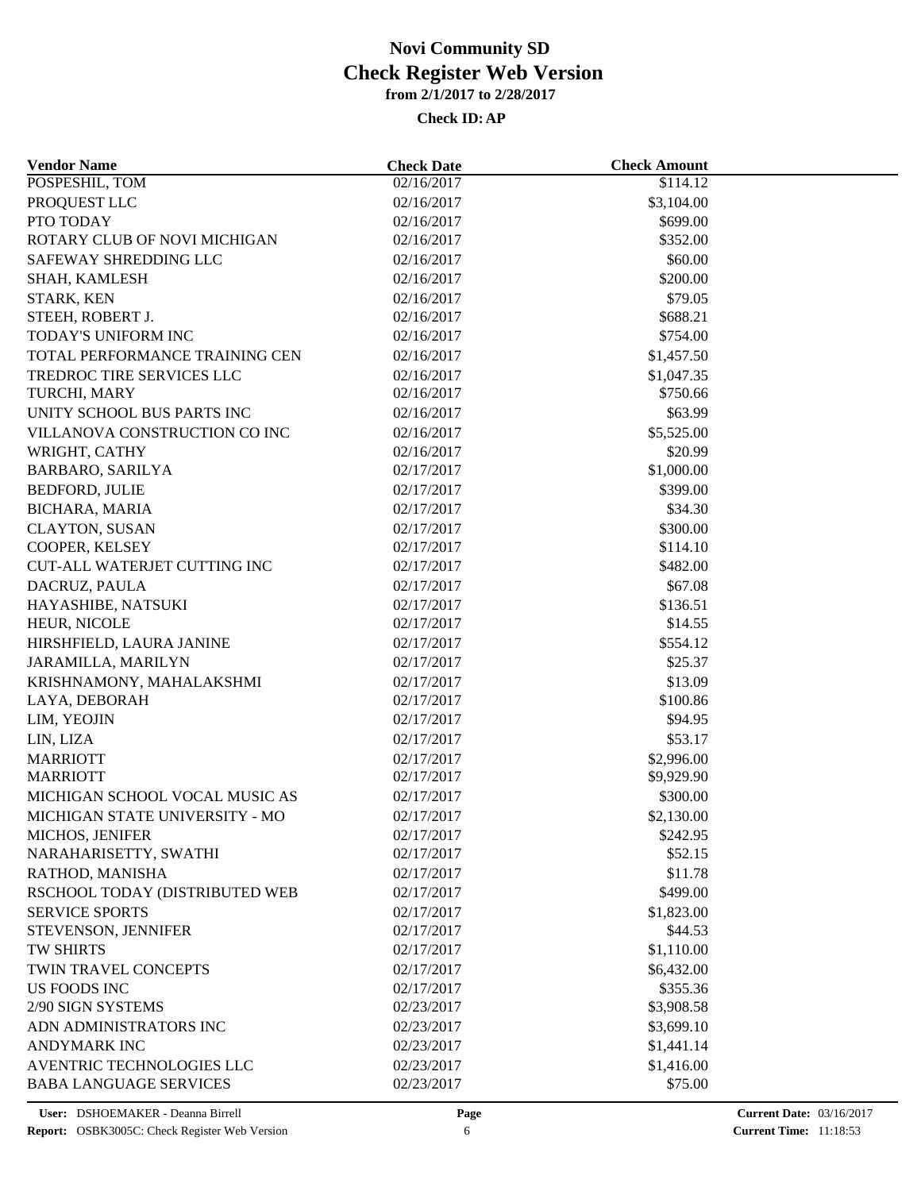| <b>Vendor Name</b>                  | <b>Check Date</b> | <b>Check Amount</b> |  |
|-------------------------------------|-------------------|---------------------|--|
| POSPESHIL, TOM                      | 02/16/2017        | \$114.12            |  |
| PROQUEST LLC                        | 02/16/2017        | \$3,104.00          |  |
| PTO TODAY                           | 02/16/2017        | \$699.00            |  |
| ROTARY CLUB OF NOVI MICHIGAN        | 02/16/2017        | \$352.00            |  |
| SAFEWAY SHREDDING LLC               | 02/16/2017        | \$60.00             |  |
| SHAH, KAMLESH                       | 02/16/2017        | \$200.00            |  |
| STARK, KEN                          | 02/16/2017        | \$79.05             |  |
| STEEH, ROBERT J.                    | 02/16/2017        | \$688.21            |  |
| TODAY'S UNIFORM INC                 | 02/16/2017        | \$754.00            |  |
| TOTAL PERFORMANCE TRAINING CEN      | 02/16/2017        | \$1,457.50          |  |
| TREDROC TIRE SERVICES LLC           | 02/16/2017        | \$1,047.35          |  |
| TURCHI, MARY                        | 02/16/2017        | \$750.66            |  |
| UNITY SCHOOL BUS PARTS INC          | 02/16/2017        | \$63.99             |  |
| VILLANOVA CONSTRUCTION CO INC       | 02/16/2017        | \$5,525.00          |  |
| WRIGHT, CATHY                       | 02/16/2017        | \$20.99             |  |
| BARBARO, SARILYA                    | 02/17/2017        | \$1,000.00          |  |
| <b>BEDFORD, JULIE</b>               | 02/17/2017        | \$399.00            |  |
| <b>BICHARA, MARIA</b>               | 02/17/2017        | \$34.30             |  |
| <b>CLAYTON, SUSAN</b>               | 02/17/2017        | \$300.00            |  |
| COOPER, KELSEY                      | 02/17/2017        | \$114.10            |  |
| <b>CUT-ALL WATERJET CUTTING INC</b> | 02/17/2017        | \$482.00            |  |
| DACRUZ, PAULA                       | 02/17/2017        | \$67.08             |  |
| HAYASHIBE, NATSUKI                  | 02/17/2017        | \$136.51            |  |
| HEUR, NICOLE                        | 02/17/2017        | \$14.55             |  |
| HIRSHFIELD, LAURA JANINE            | 02/17/2017        | \$554.12            |  |
|                                     |                   |                     |  |
| JARAMILLA, MARILYN                  | 02/17/2017        | \$25.37             |  |
| KRISHNAMONY, MAHALAKSHMI            | 02/17/2017        | \$13.09             |  |
| LAYA, DEBORAH                       | 02/17/2017        | \$100.86            |  |
| LIM, YEOJIN                         | 02/17/2017        | \$94.95             |  |
| LIN, LIZA                           | 02/17/2017        | \$53.17             |  |
| <b>MARRIOTT</b>                     | 02/17/2017        | \$2,996.00          |  |
| <b>MARRIOTT</b>                     | 02/17/2017        | \$9,929.90          |  |
| MICHIGAN SCHOOL VOCAL MUSIC AS      | 02/17/2017        | \$300.00            |  |
| MICHIGAN STATE UNIVERSITY - MO      | 02/17/2017        | \$2,130.00          |  |
| MICHOS, JENIFER                     | 02/17/2017        | \$242.95            |  |
| NARAHARISETTY, SWATHI               | 02/17/2017        | \$52.15             |  |
| RATHOD, MANISHA                     | 02/17/2017        | \$11.78             |  |
| RSCHOOL TODAY (DISTRIBUTED WEB      | 02/17/2017        | \$499.00            |  |
| <b>SERVICE SPORTS</b>               | 02/17/2017        | \$1,823.00          |  |
| STEVENSON, JENNIFER                 | 02/17/2017        | \$44.53             |  |
| TW SHIRTS                           | 02/17/2017        | \$1,110.00          |  |
| TWIN TRAVEL CONCEPTS                | 02/17/2017        | \$6,432.00          |  |
| <b>US FOODS INC</b>                 | 02/17/2017        | \$355.36            |  |
| 2/90 SIGN SYSTEMS                   | 02/23/2017        | \$3,908.58          |  |
| ADN ADMINISTRATORS INC              | 02/23/2017        | \$3,699.10          |  |
| <b>ANDYMARK INC</b>                 | 02/23/2017        | \$1,441.14          |  |
| AVENTRIC TECHNOLOGIES LLC           | 02/23/2017        | \$1,416.00          |  |
| <b>BABA LANGUAGE SERVICES</b>       | 02/23/2017        | \$75.00             |  |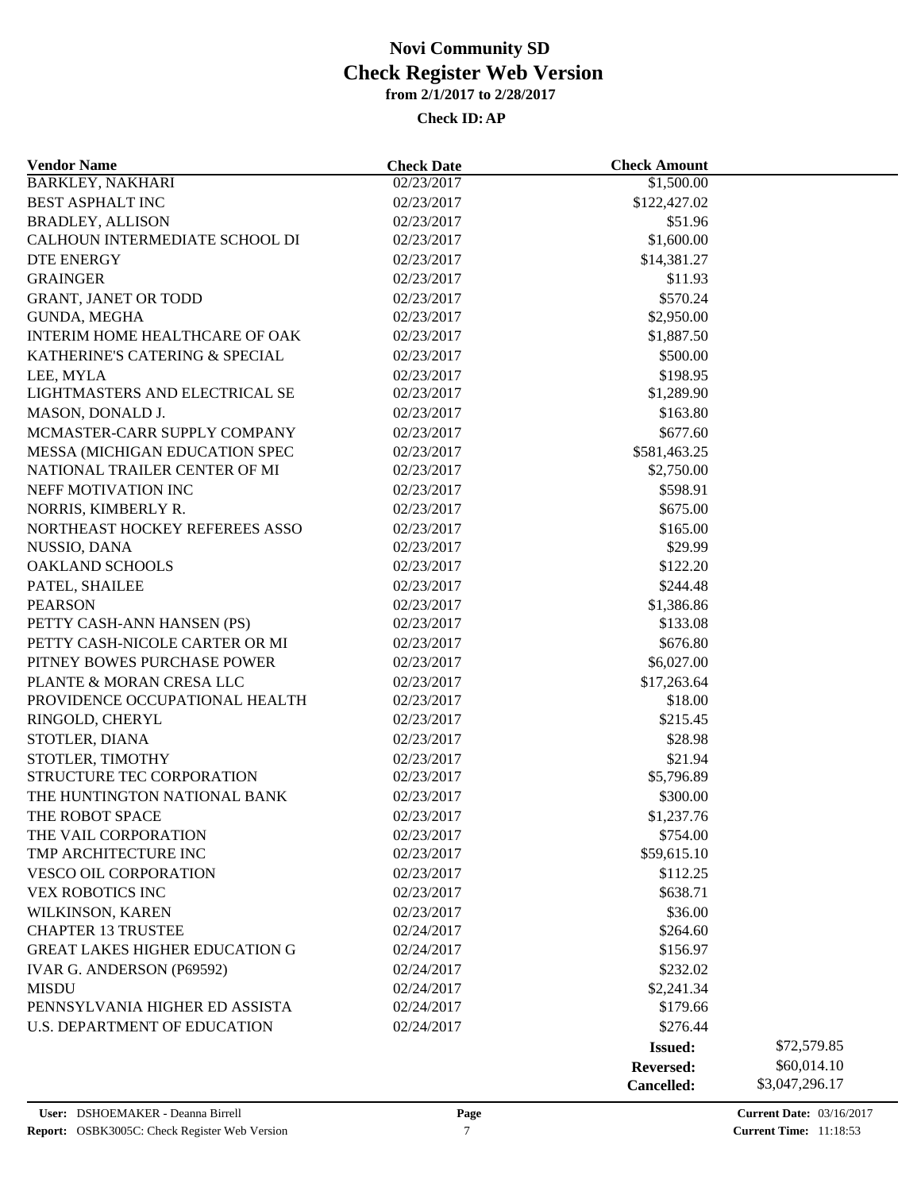| <b>Vendor Name</b>                    | <b>Check Date</b> | <b>Check Amount</b> |                |
|---------------------------------------|-------------------|---------------------|----------------|
| <b>BARKLEY, NAKHARI</b>               | 02/23/2017        | \$1,500.00          |                |
| <b>BEST ASPHALT INC</b>               | 02/23/2017        | \$122,427.02        |                |
| <b>BRADLEY, ALLISON</b>               | 02/23/2017        | \$51.96             |                |
| CALHOUN INTERMEDIATE SCHOOL DI        | 02/23/2017        | \$1,600.00          |                |
| DTE ENERGY                            | 02/23/2017        | \$14,381.27         |                |
| <b>GRAINGER</b>                       | 02/23/2017        | \$11.93             |                |
| <b>GRANT, JANET OR TODD</b>           | 02/23/2017        | \$570.24            |                |
| GUNDA, MEGHA                          | 02/23/2017        | \$2,950.00          |                |
| INTERIM HOME HEALTHCARE OF OAK        | 02/23/2017        | \$1,887.50          |                |
| KATHERINE'S CATERING & SPECIAL        | 02/23/2017        | \$500.00            |                |
| LEE, MYLA                             | 02/23/2017        | \$198.95            |                |
| LIGHTMASTERS AND ELECTRICAL SE        | 02/23/2017        | \$1,289.90          |                |
| MASON, DONALD J.                      | 02/23/2017        | \$163.80            |                |
| MCMASTER-CARR SUPPLY COMPANY          | 02/23/2017        | \$677.60            |                |
| MESSA (MICHIGAN EDUCATION SPEC        | 02/23/2017        | \$581,463.25        |                |
| NATIONAL TRAILER CENTER OF MI         | 02/23/2017        | \$2,750.00          |                |
| NEFF MOTIVATION INC                   | 02/23/2017        | \$598.91            |                |
|                                       |                   |                     |                |
| NORRIS, KIMBERLY R.                   | 02/23/2017        | \$675.00            |                |
| NORTHEAST HOCKEY REFEREES ASSO        | 02/23/2017        | \$165.00            |                |
| NUSSIO, DANA                          | 02/23/2017        | \$29.99             |                |
| <b>OAKLAND SCHOOLS</b>                | 02/23/2017        | \$122.20            |                |
| PATEL, SHAILEE                        | 02/23/2017        | \$244.48            |                |
| <b>PEARSON</b>                        | 02/23/2017        | \$1,386.86          |                |
| PETTY CASH-ANN HANSEN (PS)            | 02/23/2017        | \$133.08            |                |
| PETTY CASH-NICOLE CARTER OR MI        | 02/23/2017        | \$676.80            |                |
| PITNEY BOWES PURCHASE POWER           | 02/23/2017        | \$6,027.00          |                |
| PLANTE & MORAN CRESA LLC              | 02/23/2017        | \$17,263.64         |                |
| PROVIDENCE OCCUPATIONAL HEALTH        | 02/23/2017        | \$18.00             |                |
| RINGOLD, CHERYL                       | 02/23/2017        | \$215.45            |                |
| STOTLER, DIANA                        | 02/23/2017        | \$28.98             |                |
| STOTLER, TIMOTHY                      | 02/23/2017        | \$21.94             |                |
| STRUCTURE TEC CORPORATION             | 02/23/2017        | \$5,796.89          |                |
| THE HUNTINGTON NATIONAL BANK          | 02/23/2017        | \$300.00            |                |
| THE ROBOT SPACE                       | 02/23/2017        | \$1,237.76          |                |
| THE VAIL CORPORATION                  | 02/23/2017        | \$754.00            |                |
| TMP ARCHITECTURE INC                  | 02/23/2017        | \$59,615.10         |                |
| <b>VESCO OIL CORPORATION</b>          | 02/23/2017        | \$112.25            |                |
| VEX ROBOTICS INC                      | 02/23/2017        | \$638.71            |                |
| WILKINSON, KAREN                      | 02/23/2017        | \$36.00             |                |
| <b>CHAPTER 13 TRUSTEE</b>             | 02/24/2017        | \$264.60            |                |
| <b>GREAT LAKES HIGHER EDUCATION G</b> | 02/24/2017        | \$156.97            |                |
| IVAR G. ANDERSON (P69592)             | 02/24/2017        | \$232.02            |                |
| <b>MISDU</b>                          | 02/24/2017        | \$2,241.34          |                |
| PENNSYLVANIA HIGHER ED ASSISTA        | 02/24/2017        | \$179.66            |                |
| <b>U.S. DEPARTMENT OF EDUCATION</b>   | 02/24/2017        | \$276.44            |                |
|                                       |                   | <b>Issued:</b>      | \$72,579.85    |
|                                       |                   | <b>Reversed:</b>    | \$60,014.10    |
|                                       |                   | Cancelled:          | \$3,047,296.17 |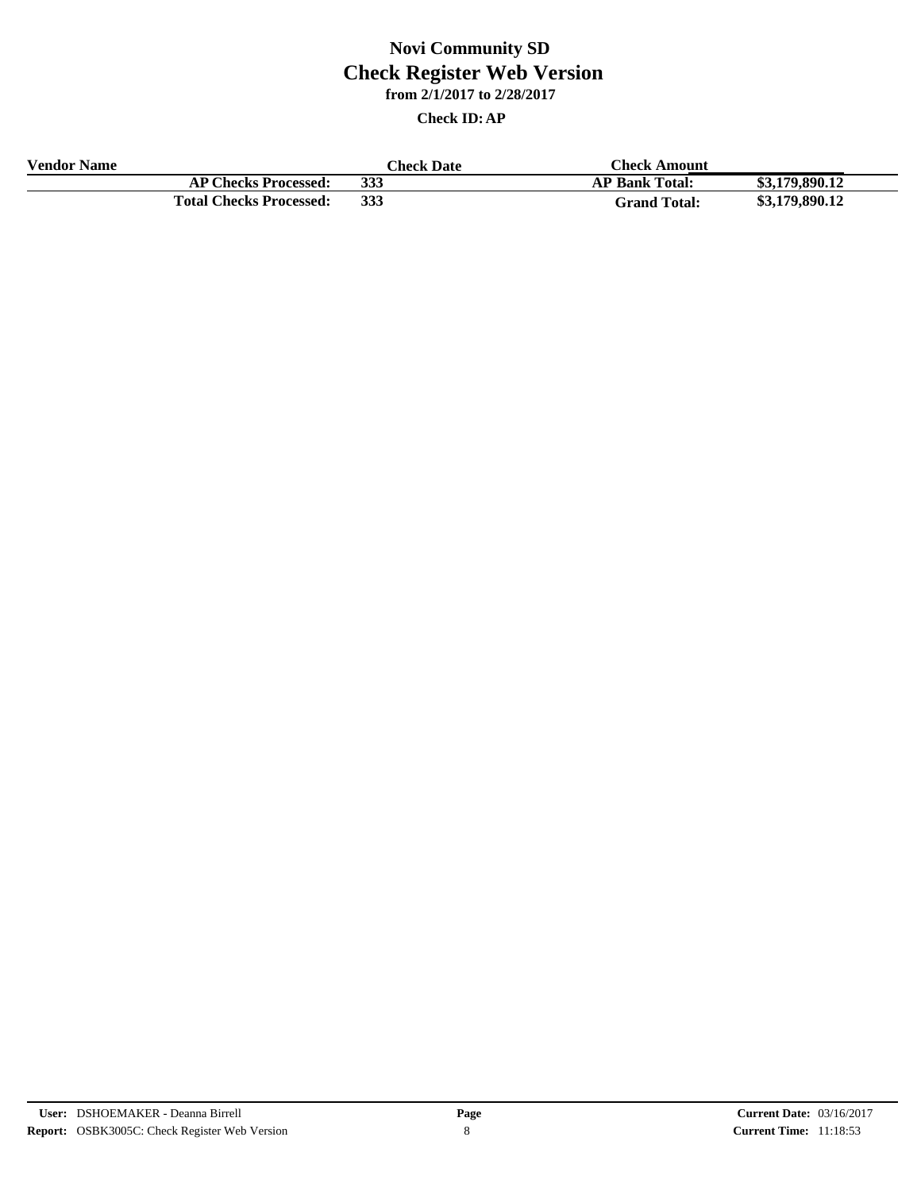| <b>Vendor Name</b> |                                | <b>Theck Date</b> | <b>Check Amount</b>   |                |
|--------------------|--------------------------------|-------------------|-----------------------|----------------|
|                    | <b>AP Checks Processed:</b>    | 333               | <b>AP Bank Total:</b> | \$3,179,890.12 |
|                    | <b>Total Checks Processed:</b> | 333               | <b>Grand Total:</b>   | \$3,179,890.12 |